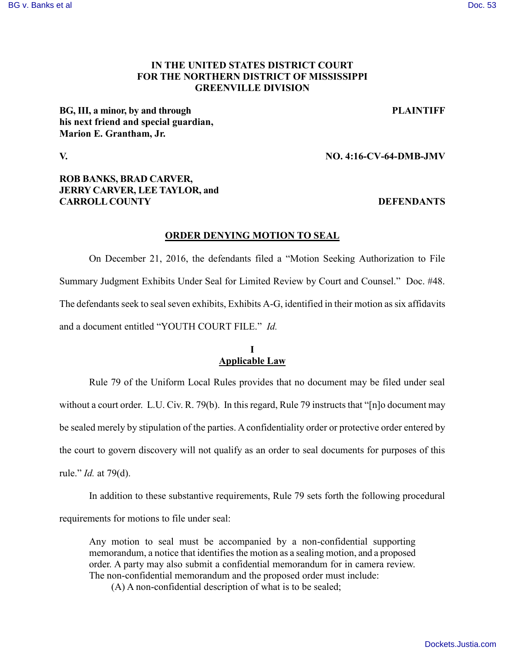### [BG v. Banks et al](https://dockets.justia.com/docket/mississippi/msndce/4:2016cv00064/38090/) [Doc. 53](https://docs.justia.com/cases/federal/district-courts/mississippi/msndce/4:2016cv00064/38090/53/)

## **IN THE UNITED STATES DISTRICT COURT FOR THE NORTHERN DISTRICT OF MISSISSIPPI GREENVILLE DIVISION**

**BG, III, a minor, by and through PLAINTIFF his next friend and special guardian, Marion E. Grantham, Jr.**

### **V. NO. 4:16-CV-64-DMB-JMV**

# **ROB BANKS, BRAD CARVER, JERRY CARVER, LEE TAYLOR, and CARROLL COUNTY DEFENDANTS**

### **ORDER DENYING MOTION TO SEAL**

On December 21, 2016, the defendants filed a "Motion Seeking Authorization to File Summary Judgment Exhibits Under Seal for Limited Review by Court and Counsel." Doc. #48. The defendants seek to seal seven exhibits, Exhibits A-G, identified in their motion as six affidavits and a document entitled "YOUTH COURT FILE." *Id.*

# **I Applicable Law**

Rule 79 of the Uniform Local Rules provides that no document may be filed under seal without a court order. L.U. Civ. R. 79(b). In this regard, Rule 79 instructs that "[n]o document may be sealed merely by stipulation of the parties. A confidentiality order or protective order entered by the court to govern discovery will not qualify as an order to seal documents for purposes of this rule." *Id.* at 79(d).

In addition to these substantive requirements, Rule 79 sets forth the following procedural requirements for motions to file under seal:

Any motion to seal must be accompanied by a non-confidential supporting memorandum, a notice that identifies the motion as a sealing motion, and a proposed order. A party may also submit a confidential memorandum for in camera review. The non-confidential memorandum and the proposed order must include:

(A) A non-confidential description of what is to be sealed;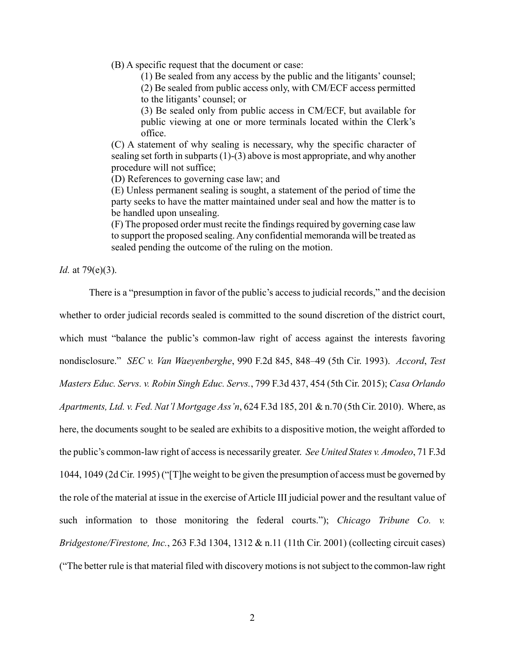(B) A specific request that the document or case:

(1) Be sealed from any access by the public and the litigants' counsel;

(2) Be sealed from public access only, with CM/ECF access permitted to the litigants' counsel; or

(3) Be sealed only from public access in CM/ECF, but available for public viewing at one or more terminals located within the Clerk's office.

(C) A statement of why sealing is necessary, why the specific character of sealing set forth in subparts (1)-(3) above is most appropriate, and why another procedure will not suffice;

(D) References to governing case law; and

(E) Unless permanent sealing is sought, a statement of the period of time the party seeks to have the matter maintained under seal and how the matter is to be handled upon unsealing.

(F) The proposed order must recite the findings required by governing case law to support the proposed sealing. Any confidential memoranda will be treated as sealed pending the outcome of the ruling on the motion.

*Id.* at 79(e)(3).

There is a "presumption in favor of the public's access to judicial records," and the decision whether to order judicial records sealed is committed to the sound discretion of the district court, which must "balance the public's common-law right of access against the interests favoring nondisclosure." *SEC v. Van Waeyenberghe*, 990 F.2d 845, 848–49 (5th Cir. 1993). *Accord*, *Test Masters Educ. Servs. v. Robin Singh Educ. Servs.*, 799 F.3d 437, 454 (5th Cir. 2015); *Casa Orlando Apartments, Ltd. v. Fed. Nat'l Mortgage Ass'n*, 624 F.3d 185, 201 & n.70 (5th Cir. 2010). Where, as here, the documents sought to be sealed are exhibits to a dispositive motion, the weight afforded to the public's common-law right of access is necessarily greater. *See United States v. Amodeo*, 71 F.3d 1044, 1049 (2d Cir. 1995) ("[T]he weight to be given the presumption of access must be governed by the role of the material at issue in the exercise of Article III judicial power and the resultant value of such information to those monitoring the federal courts."); *Chicago Tribune Co. v. Bridgestone/Firestone, Inc.*, 263 F.3d 1304, 1312 & n.11 (11th Cir. 2001) (collecting circuit cases) ("The better rule is that material filed with discovery motions is not subject to the common-law right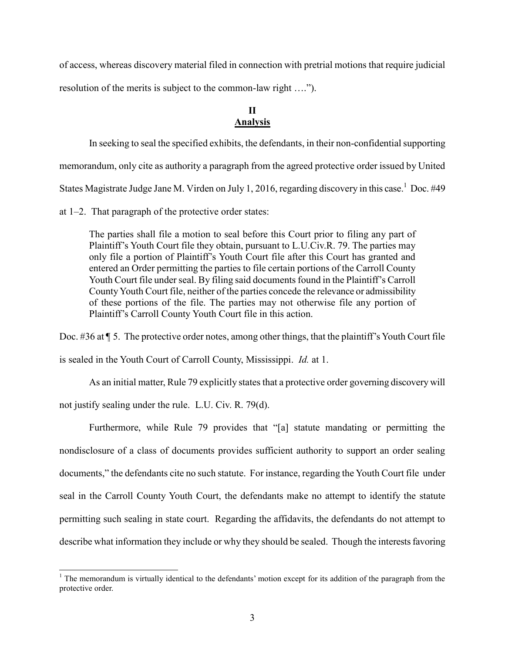of access, whereas discovery material filed in connection with pretrial motions that require judicial

resolution of the merits is subject to the common-law right ….").

# **II Analysis**

In seeking to seal the specified exhibits, the defendants, in their non-confidential supporting memorandum, only cite as authority a paragraph from the agreed protective order issued by United States Magistrate Judge Jane M. Virden on July 1, 2016, regarding discovery in this case.<sup>1</sup> Doc. #49

at 1–2. That paragraph of the protective order states:

The parties shall file a motion to seal before this Court prior to filing any part of Plaintiff's Youth Court file they obtain, pursuant to L.U.Civ.R. 79. The parties may only file a portion of Plaintiff's Youth Court file after this Court has granted and entered an Order permitting the parties to file certain portions of the Carroll County Youth Court file under seal. By filing said documents found in the Plaintiff's Carroll County Youth Court file, neither of the parties concede the relevance or admissibility of these portions of the file. The parties may not otherwise file any portion of Plaintiff's Carroll County Youth Court file in this action.

Doc. #36 at ¶ 5. The protective order notes, among other things, that the plaintiff's Youth Court file

is sealed in the Youth Court of Carroll County, Mississippi. *Id.* at 1.

As an initial matter, Rule 79 explicitly states that a protective order governing discovery will

not justify sealing under the rule. L.U. Civ. R. 79(d).

Furthermore, while Rule 79 provides that "[a] statute mandating or permitting the nondisclosure of a class of documents provides sufficient authority to support an order sealing documents," the defendants cite no such statute. For instance, regarding the Youth Court file under seal in the Carroll County Youth Court, the defendants make no attempt to identify the statute permitting such sealing in state court. Regarding the affidavits, the defendants do not attempt to describe what information they include or why they should be sealed. Though the interests favoring

 $\overline{a}$  $1$ . The memorandum is virtually identical to the defendants' motion except for its addition of the paragraph from the protective order.